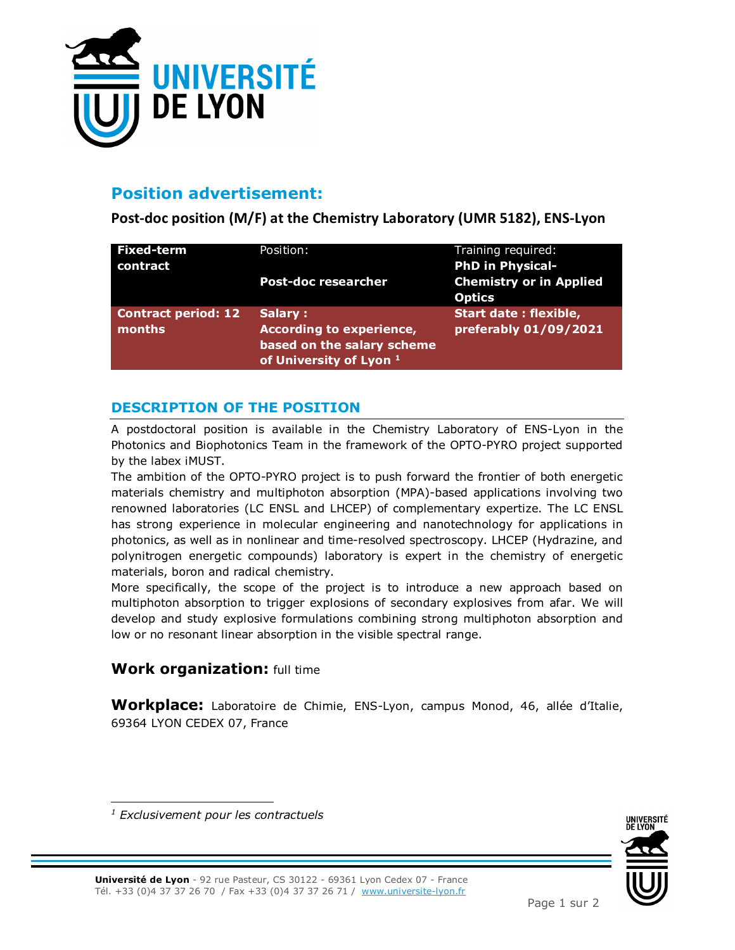

# **Position advertisement:**

**Post-doc position (M/F) at the Chemistry Laboratory (UMR 5182), ENS-Lyon** 

| <b>Fixed-term</b><br>contract               | Position:                                                                                                      | Training required:<br><b>PhD in Physical-</b>         |
|---------------------------------------------|----------------------------------------------------------------------------------------------------------------|-------------------------------------------------------|
|                                             | <b>Post-doc researcher</b>                                                                                     | <b>Chemistry or in Applied</b><br><b>Optics</b>       |
| <b>Contract period: 12</b><br><b>months</b> | Salary:<br><b>According to experience,</b><br>based on the salary scheme<br>of University of Lyon <sup>1</sup> | <b>Start date: flexible,</b><br>preferably 01/09/2021 |

### **DESCRIPTION OF THE POSITION**

A postdoctoral position is available in the Chemistry Laboratory of ENS-Lyon in the Photonics and Biophotonics Team in the framework of the OPTO-PYRO project supported by the labex iMUST.

The ambition of the OPTO-PYRO project is to push forward the frontier of both energetic materials chemistry and multiphoton absorption (MPA)-based applications involving two renowned laboratories (LC ENSL and LHCEP) of complementary expertize. The LC ENSL has strong experience in molecular engineering and nanotechnology for applications in photonics, as well as in nonlinear and time-resolved spectroscopy. LHCEP (Hydrazine, and polynitrogen energetic compounds) laboratory is expert in the chemistry of energetic materials, boron and radical chemistry.

More specifically, the scope of the project is to introduce a new approach based on multiphoton absorption to trigger explosions of secondary explosives from afar. We will develop and study explosive formulations combining strong multiphoton absorption and low or no resonant linear absorption in the visible spectral range.

### **Work organization:** full time

**Workplace:** Laboratoire de Chimie, ENS-Lyon, campus Monod, 46, allée d'Italie, 69364 LYON CEDEX 07, France



**Université de Lyon** - 92 rue Pasteur, CS 30122 - 69361 Lyon Cedex 07 - France Tél. +33 (0)4 37 37 26 70 / Fax +33 (0)4 37 37 26 71 / www.universite-lyon.fr

<sup>-</sup>*1 Exclusivement pour les contractuels*